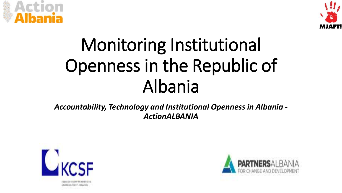



# Monitoring Institutional Openness in the Republic of Albania

*Accountability, Technology and Institutional Openness in Albania - ActionALBANIA*



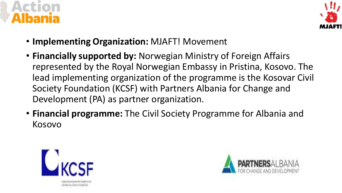



- **Implementing Organization:** MJAFT! Movement
- **Financially supported by:** Norwegian Ministry of Foreign Affairs represented by the Royal Norwegian Embassy in Pristina, Kosovo. The lead implementing organization of the programme is the Kosovar Civil Society Foundation (KCSF) with Partners Albania for Change and Development (PA) as partner organization.
- **Financial programme:** The Civil Society Programme for Albania and Kosovo



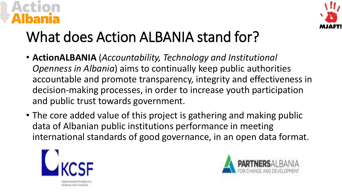

# What does Action ALBANIA stand for?

- **ActionALBANIA** (*Accountability, Technology and Institutional Openness in Albania*) aims to continually keep public authorities accountable and promote transparency, integrity and effectiveness in decision-making processes, in order to increase youth participation and public trust towards government.
- The core added value of this project is gathering and making public data of Albanian public institutions performance in meeting international standards of good governance, in an open data format.



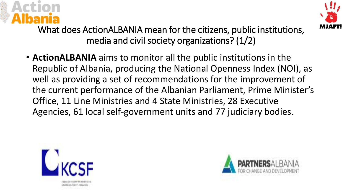



What does ActionALBANIA mean for the citizens, public institutions, media and civil society organizations? (1/2)

• **ActionALBANIA** aims to monitor all the public institutions in the Republic of Albania, producing the National Openness Index (NOI), as well as providing a set of recommendations for the improvement of the current performance of the Albanian Parliament, Prime Minister's Office, 11 Line Ministries and 4 State Ministries, 28 Executive Agencies, 61 local self-government units and 77 judiciary bodies.



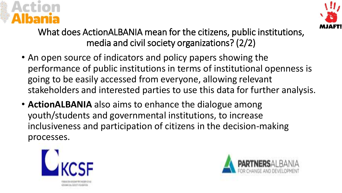



What does ActionALBANIA mean for the citizens, public institutions, media and civil society organizations? (2/2)

- An open source of indicators and policy papers showing the performance of public institutions in terms of institutional openness is going to be easily accessed from everyone, allowing relevant stakeholders and interested parties to use this data for further analysis.
- **ActionALBANIA** also aims to enhance the dialogue among youth/students and governmental institutions, to increase inclusiveness and participation of citizens in the decision-making processes.



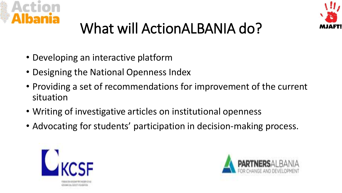



#### What will ActionALBANIA do?

- Developing an interactive platform
- Designing the National Openness Index
- Providing a set of recommendations for improvement of the current situation
- Writing of investigative articles on institutional openness
- Advocating for students' participation in decision-making process.



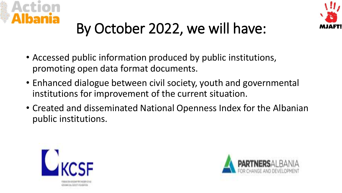



# By October 2022, we will have:

- Accessed public information produced by public institutions, promoting open data format documents.
- Enhanced dialogue between civil society, youth and governmental institutions for improvement of the current situation.
- Created and disseminated National Openness Index for the Albanian public institutions.



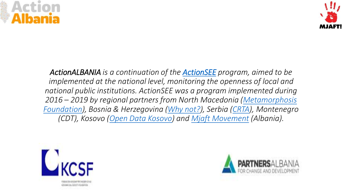



*ActionALBANIA is a continuation of the [ActionSEE](https://actionsee.org/about-actionsee/) program, aimed to be implemented at the national level, monitoring the openness of local and national public institutions. ActionSEE was a program implemented during 2016 – 2019 by regional partners from North Macedonia (Metamorphosis [Foundation\), Bosnia & Herzegovina \(Why not?\), Serbia \(CRTA\), Montenegro](https://metamorphosis.org.mk/en/) (CDT), Kosovo ([Open Data Kosovo](https://opendatakosovo.org/)) and Mjaft [Movement](http://www.mjaft.org/sq) (Albania).*



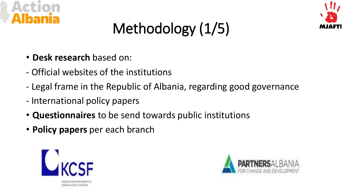



### Methodology (1/5)

- **Desk research** based on:
- Official websites of the institutions
- Legal frame in the Republic of Albania, regarding good governance
- International policy papers
- **Questionnaires** to be send towards public institutions
- **Policy papers** per each branch



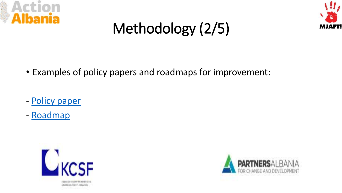



#### Methodology (2/5)

- Examples of policy papers and roadmaps for improvement:
- [Policy paper](https://www.mjaft.org/en/reports/analysis-executive-power-openness-albania-and-region)
- [Roadmap](https://www.mjaft.org/en/reports/roadmap-good-governance-state-institutions-republic-albania-based-measurements-2019)



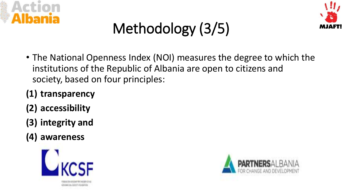



#### Methodology (3/5)

- The National Openness Index (NOI) measures the degree to which the institutions of the Republic of Albania are open to citizens and society, based on four principles:
- **(1) transparency**
- **(2) accessibility**
- **(3) integrity and**
- **(4) awareness**



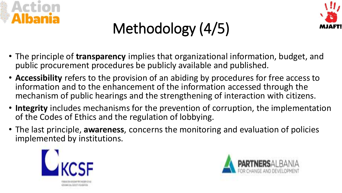



### Methodology (4/5)

- The principle of **transparency** implies that organizational information, budget, and public procurement procedures be publicly available and published.
- **Accessibility** refers to the provision of an abiding by procedures for free access to information and to the enhancement of the information accessed through the mechanism of public hearings and the strengthening of interaction with citizens.
- **Integrity** includes mechanisms for the prevention of corruption, the implementation of the Codes of Ethics and the regulation of lobbying.
- The last principle, **awareness**, concerns the monitoring and evaluation of policies implemented by institutions.